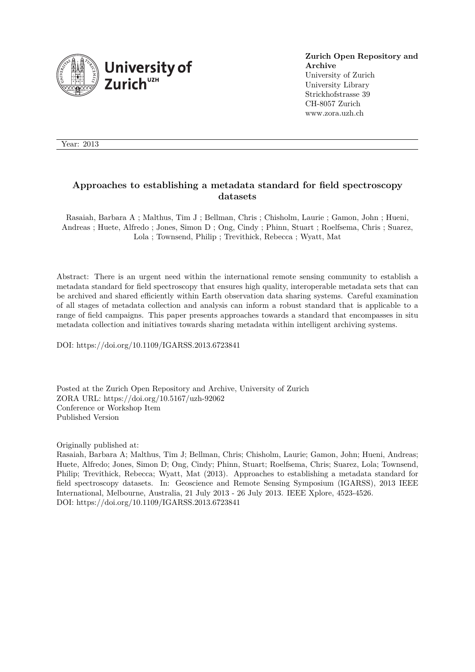

**Zurich Open Repository and Archive** University of Zurich University Library Strickhofstrasse 39 CH-8057 Zurich

www.zora.uzh.ch

Year: 2013

# **Approaches to establishing a metadata standard for field spectroscopy datasets**

Rasaiah, Barbara A ; Malthus, Tim J ; Bellman, Chris ; Chisholm, Laurie ; Gamon, John ; Hueni, Andreas ; Huete, Alfredo ; Jones, Simon D ; Ong, Cindy ; Phinn, Stuart ; Roelfsema, Chris ; Suarez, Lola ; Townsend, Philip ; Trevithick, Rebecca ; Wyatt, Mat

Abstract: There is an urgent need within the international remote sensing community to establish a metadata standard for field spectroscopy that ensures high quality, interoperable metadata sets that can be archived and shared efficiently within Earth observation data sharing systems. Careful examination of all stages of metadata collection and analysis can inform a robust standard that is applicable to a range of field campaigns. This paper presents approaches towards a standard that encompasses in situ metadata collection and initiatives towards sharing metadata within intelligent archiving systems.

DOI: https://doi.org/10.1109/IGARSS.2013.6723841

Posted at the Zurich Open Repository and Archive, University of Zurich ZORA URL: https://doi.org/10.5167/uzh-92062 Conference or Workshop Item Published Version

Originally published at:

Rasaiah, Barbara A; Malthus, Tim J; Bellman, Chris; Chisholm, Laurie; Gamon, John; Hueni, Andreas; Huete, Alfredo; Jones, Simon D; Ong, Cindy; Phinn, Stuart; Roelfsema, Chris; Suarez, Lola; Townsend, Philip; Trevithick, Rebecca; Wyatt, Mat (2013). Approaches to establishing a metadata standard for field spectroscopy datasets. In: Geoscience and Remote Sensing Symposium (IGARSS), 2013 IEEE International, Melbourne, Australia, 21 July 2013 - 26 July 2013. IEEE Xplore, 4523-4526. DOI: https://doi.org/10.1109/IGARSS.2013.6723841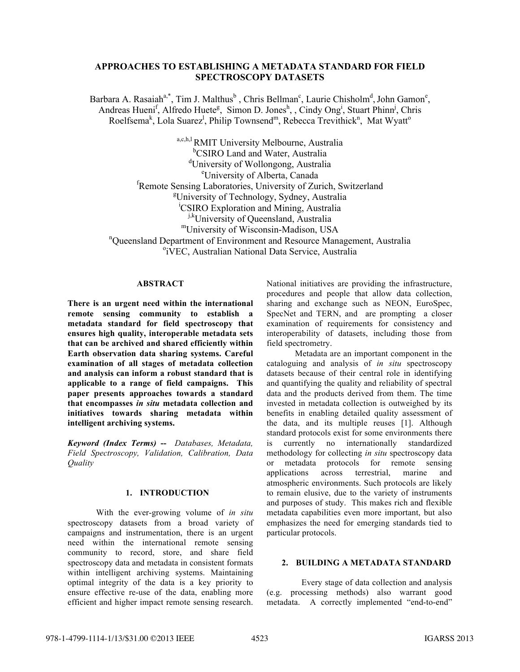# **APPROACHES TO ESTABLISHING A METADATA STANDARD FOR FIELD SPECTROSCOPY DATASETS**

Barbara A. Rasaiah<sup>a,\*</sup>, Tim J. Malthus<sup>b</sup>, Chris Bellman<sup>c</sup>, Laurie Chisholm<sup>d</sup>, John Gamon<sup>e</sup>, Andreas Hueni<sup>f</sup>, Alfredo Huete<sup>g</sup>, Simon D. Jones<sup>h</sup>, , Cindy Ong<sup>i</sup>, Stuart Phinn<sup>j</sup>, Chris Roelfsema<sup>k</sup>, Lola Suarez<sup>1</sup>, Philip Townsend<sup>m</sup>, Rebecca Trevithick<sup>n</sup>, Mat Wyatt<sup>o</sup>

a,c,h,l RMIT University Melbourne, Australia <sup>b</sup>CSIRO Land and Water, Australia <sup>d</sup>University of Wollongong, Australia <sup>e</sup>University of Alberta, Canada <sup>f</sup>Remote Sensing Laboratories, University of Zurich, Switzerland <sup>g</sup>University of Technology, Sydney, Australia <sup>i</sup>CSIRO Exploration and Mining, Australia <sup>J,k</sup>University of Queensland, Australia <sup>m</sup>University of Wisconsin-Madison, USA <sup>n</sup>Queensland Department of Environment and Resource Management, Australia <sup>o</sup>iVEC, Australian National Data Service, Australia

#### **ABSTRACT**

**There is an urgent need within the international remote sensing community to establish a metadata standard for field spectroscopy that ensures high quality, interoperable metadata sets that can be archived and shared efficiently within Earth observation data sharing systems. Careful examination of all stages of metadata collection and analysis can inform a robust standard that is applicable to a range of field campaigns. This paper presents approaches towards a standard that encompasses** *in situ* **metadata collection and initiatives towards sharing metadata within intelligent archiving systems.**

*Keyword (Index Terms)* **--** *Databases, Metadata, Field Spectroscopy, Validation, Calibration, Data Quality* 

## **1. INTRODUCTION**

With the ever-growing volume of *in situ* spectroscopy datasets from a broad variety of campaigns and instrumentation, there is an urgent need within the international remote sensing community to record, store, and share field spectroscopy data and metadata in consistent formats within intelligent archiving systems. Maintaining optimal integrity of the data is a key priority to ensure effective re-use of the data, enabling more efficient and higher impact remote sensing research. National initiatives are providing the infrastructure, procedures and people that allow data collection, sharing and exchange such as NEON, EuroSpec, SpecNet and TERN, and are prompting a closer examination of requirements for consistency and interoperability of datasets, including those from field spectrometry.

Metadata are an important component in the cataloguing and analysis of *in situ* spectroscopy datasets because of their central role in identifying and quantifying the quality and reliability of spectral data and the products derived from them. The time invested in metadata collection is outweighed by its benefits in enabling detailed quality assessment of the data, and its multiple reuses [1]. Although standard protocols exist for some environments there is currently no internationally standardized methodology for collecting *in situ* spectroscopy data or metadata protocols for remote sensing applications across terrestrial, marine and atmospheric environments. Such protocols are likely to remain elusive, due to the variety of instruments and purposes of study. This makes rich and flexible metadata capabilities even more important, but also emphasizes the need for emerging standards tied to particular protocols.

## **2. BUILDING A METADATA STANDARD**

 Every stage of data collection and analysis (e.g. processing methods) also warrant good metadata. A correctly implemented "end-to-end"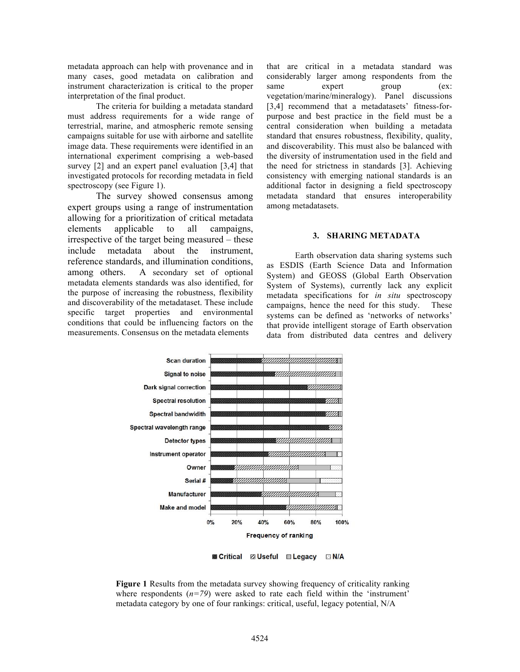metadata approach can help with provenance and in many cases, good metadata on calibration and instrument characterization is critical to the proper interpretation of the final product.

The criteria for building a metadata standard must address requirements for a wide range of terrestrial, marine, and atmospheric remote sensing campaigns suitable for use with airborne and satellite image data. These requirements were identified in an international experiment comprising a web-based survey [2] and an expert panel evaluation [3,4] that investigated protocols for recording metadata in field spectroscopy (see Figure 1).

The survey showed consensus among expert groups using a range of instrumentation allowing for a prioritization of critical metadata elements applicable to all campaigns, irrespective of the target being measured – these include metadata about the instrument, reference standards, and illumination conditions, among others. A secondary set of optional metadata elements standards was also identified, for the purpose of increasing the robustness, flexibility and discoverability of the metadataset. These include specific target properties and environmental conditions that could be influencing factors on the measurements. Consensus on the metadata elements

that are critical in a metadata standard was considerably larger among respondents from the same expert group (ex: vegetation/marine/mineralogy). Panel discussions [3,4] recommend that a metadatasets' fitness-forpurpose and best practice in the field must be a central consideration when building a metadata standard that ensures robustness, flexibility, quality, and discoverability. This must also be balanced with the diversity of instrumentation used in the field and the need for strictness in standards [3]. Achieving consistency with emerging national standards is an additional factor in designing a field spectroscopy metadata standard that ensures interoperability among metadatasets.

## **3. SHARING METADATA**

Earth observation data sharing systems such as ESDIS (Earth Science Data and Information System) and GEOSS (Global Earth Observation System of Systems), currently lack any explicit metadata specifications for *in situ* spectroscopy campaigns, hence the need for this study. These systems can be defined as 'networks of networks' that provide intelligent storage of Earth observation data from distributed data centres and delivery



**Manufacture Critical Z Useful D Legacy D N/A** 

**Figure 1** Results from the metadata survey showing frequency of criticality ranking where respondents  $(n=79)$  were asked to rate each field within the 'instrument' metadata category by one of four rankings: critical, useful, legacy potential, N/A